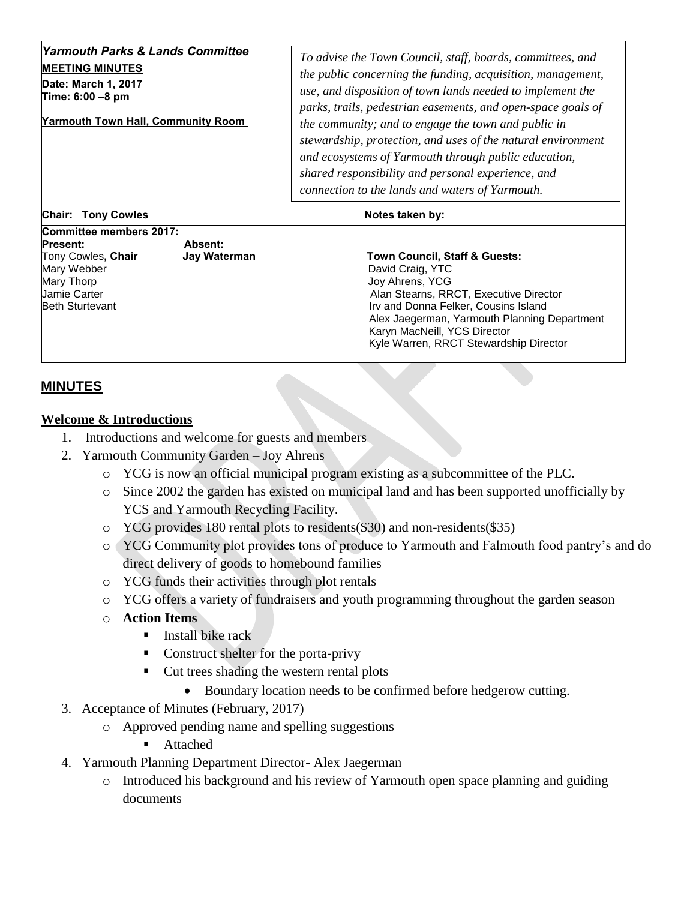| <b>Yarmouth Parks &amp; Lands Committee</b><br><b>MEETING MINUTES</b><br>Date: March 1, 2017<br>Time: 6:00 -8 pm<br><b>Yarmouth Town Hall, Community Room</b> | To advise the Town Council, staff, boards, committees, and<br>the public concerning the funding, acquisition, management,<br>use, and disposition of town lands needed to implement the<br>parks, trails, pedestrian easements, and open-space goals of<br>the community; and to engage the town and public in<br>stewardship, protection, and uses of the natural environment<br>and ecosystems of Yarmouth through public education,<br>shared responsibility and personal experience, and<br>connection to the lands and waters of Yarmouth. |
|---------------------------------------------------------------------------------------------------------------------------------------------------------------|-------------------------------------------------------------------------------------------------------------------------------------------------------------------------------------------------------------------------------------------------------------------------------------------------------------------------------------------------------------------------------------------------------------------------------------------------------------------------------------------------------------------------------------------------|
|---------------------------------------------------------------------------------------------------------------------------------------------------------------|-------------------------------------------------------------------------------------------------------------------------------------------------------------------------------------------------------------------------------------------------------------------------------------------------------------------------------------------------------------------------------------------------------------------------------------------------------------------------------------------------------------------------------------------------|

**Chair: Tony Cowles Notes taken by:** Notes taken by:

**Committee members 2017: Present: Absent:** Tony Cowles**, Chair Jay Waterman Town Council, Staff & Guests:**  Mary Webber **David Craig, YTC** Mary Thorp Joy Ahrens, YCG Jamie Carter Alan Stearns, RRCT, Executive Director Beth Sturtevant **Irv and Donna Felker, Cousins Island Irv and Donna Felker, Cousins Island** 

Alex Jaegerman, Yarmouth Planning Department Karyn MacNeill, YCS Director Kyle Warren, RRCT Stewardship Director

## **MINUTES**

## **Welcome & Introductions**

- 1. Introductions and welcome for guests and members
- 2. Yarmouth Community Garden Joy Ahrens
	- o YCG is now an official municipal program existing as a subcommittee of the PLC.
	- o Since 2002 the garden has existed on municipal land and has been supported unofficially by YCS and Yarmouth Recycling Facility.
	- o YCG provides 180 rental plots to residents(\$30) and non-residents(\$35)
	- o YCG Community plot provides tons of produce to Yarmouth and Falmouth food pantry's and do direct delivery of goods to homebound families
	- o YCG funds their activities through plot rentals
	- o YCG offers a variety of fundraisers and youth programming throughout the garden season
	- o **Action Items** 
		- **EXECUTE:** Install bike rack
		- Construct shelter for the porta-privy
			- Cut trees shading the western rental plots
				- Boundary location needs to be confirmed before hedgerow cutting.
- 3. Acceptance of Minutes (February, 2017)
	- o Approved pending name and spelling suggestions
		- Attached
- 4. Yarmouth Planning Department Director- Alex Jaegerman
	- o Introduced his background and his review of Yarmouth open space planning and guiding documents